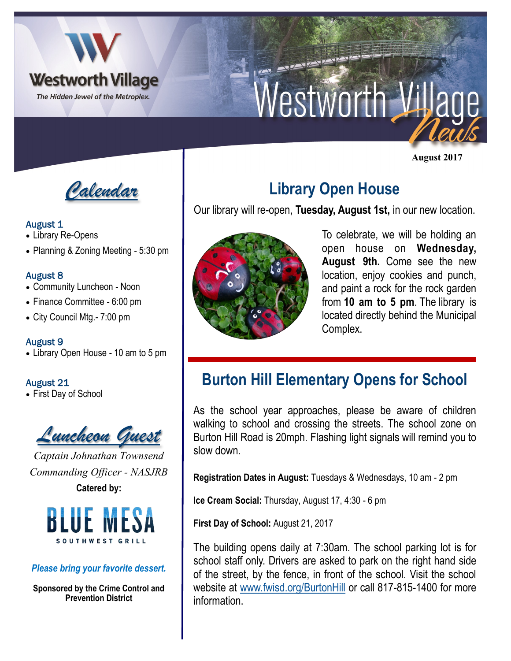

# Nestworth Village

**August 2017**



## August 1

- Library Re-Opens
- Planning & Zoning Meeting 5:30 pm

## August 8

- Community Luncheon Noon
- Finance Committee 6:00 pm
- City Council Mtg.- 7:00 pm

#### August 9

• Library Open House - 10 am to 5 pm

## August 21

• First Day of School



*Captain Johnathan Townsend Commanding Officer - NASJRB* **Catered by:** 



#### *Please bring your favorite dessert.*

**Sponsored by the Crime Control and Prevention District**

# **Library Open House**

Our library will re-open, **Tuesday, August 1st,** in our new location.



To celebrate, we will be holding an open house on **Wednesday, August 9th.** Come see the new location, enjoy cookies and punch, and paint a rock for the rock garden from **10 am to 5 pm**. The library is located directly behind the Municipal Complex.

# **Burton Hill Elementary Opens for School**

As the school year approaches, please be aware of children walking to school and crossing the streets. The school zone on Burton Hill Road is 20mph. Flashing light signals will remind you to slow down.

**Registration Dates in August:** Tuesdays & Wednesdays, 10 am - 2 pm

**Ice Cream Social:** Thursday, August 17, 4:30 - 6 pm

**First Day of School:** August 21, 2017

The building opens daily at 7:30am. The school parking lot is for school staff only. Drivers are asked to park on the right hand side of the street, by the fence, in front of the school. Visit the school website at [www.fwisd.org/BurtonHill](http://www.fwisd.org/BurtonHill) or call 817-815-1400 for more information.